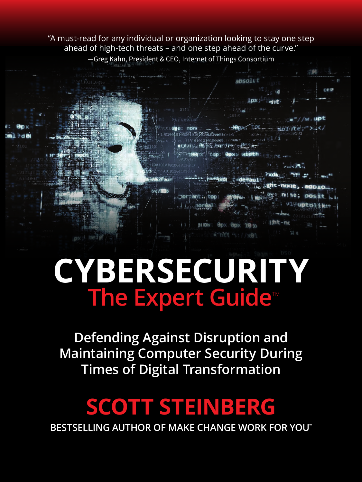"A must-read for any individual or organization looking to stay one step ahead of high-tech threats – and one step ahead of the curve." —Greg Kahn, President & CEO, Internet of Things Consortium

ahsolu1

**ODX** 

 $10<sub>0</sub>$ 



**Defending Against Disruption and Maintaining Computer Security During Times of Digital Transformation**

# **SCOTT STEINBERG**

**BESTSELLING AUTHOR OF MAKE CHANGE WORK FOR YOU™**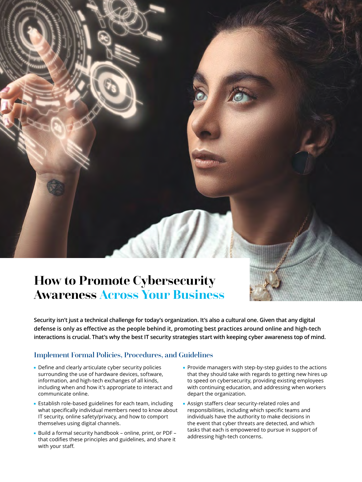

### **How to Promote Cybersecurity Awareness Across Your Business**

**Security isn't just a technical challenge for today's organization. It's also a cultural one. Given that any digital defense is only as effective as the people behind it, promoting best practices around online and high-tech interactions is crucial. That's why the best IT security strategies start with keeping cyber awareness top of mind.**

#### Implement Formal Policies, Procedures, and Guidelines

- Define and clearly articulate cyber security policies surrounding the use of hardware devices, software, information, and high-tech exchanges of all kinds, including when and how it's appropriate to interact and communicate online.
- Establish role-based guidelines for each team, including what specifically individual members need to know about IT security, online safety/privacy, and how to comport themselves using digital channels.
- Build a formal security handbook online, print, or PDF that codifies these principles and guidelines, and share it with your staff.
- Provide managers with step-by-step guides to the actions that they should take with regards to getting new hires up to speed on cybersecurity, providing existing employees with continuing education, and addressing when workers depart the organization.
- Assign staffers clear security-related roles and responsibilities, including which specific teams and individuals have the authority to make decisions in the event that cyber threats are detected, and which tasks that each is empowered to pursue in support of addressing high-tech concerns.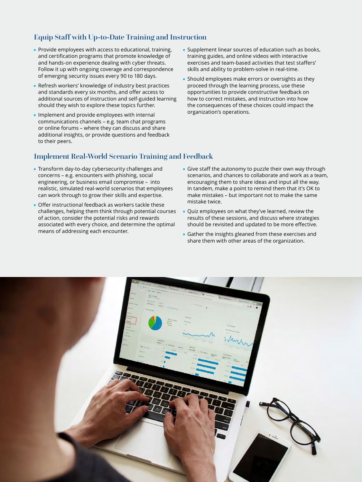#### Equip Staff with Up-to-Date Training and Instruction

- Provide employees with access to educational, training, and certification programs that promote knowledge of and hands-on experience dealing with cyber threats. Follow it up with ongoing coverage and correspondence of emerging security issues every 90 to 180 days.
- Refresh workers' knowledge of industry best practices and standards every six months, and offer access to additional sources of instruction and self-guided learning should they wish to explore these topics further.
- Implement and provide employees with internal communications channels – e.g. team chat programs or online forums – where they can discuss and share additional insights, or provide questions and feedback to their peers.
- Supplement linear sources of education such as books, training guides, and online videos with interactive exercises and team-based activities that test staffers' skills and ability to problem-solve in real-time.
- Should employees make errors or oversights as they proceed through the learning process, use these opportunities to provide constructive feedback on how to correct mistakes, and instruction into how the consequences of these choices could impact the organization's operations.

#### Implement Real-World Scenario Training and Feedback

- Transform day-to-day cybersecurity challenges and concerns – e.g. encounters with phishing, social engineering, or business email compromise – into realistic, simulated real-world scenarios that employees can work through to grow their skills and expertise.
- Offer instructional feedback as workers tackle these challenges, helping them think through potential courses of action, consider the potential risks and rewards associated with every choice, and determine the optimal means of addressing each encounter.
- Give staff the autonomy to puzzle their own way through scenarios, and chances to collaborate and work as a team, encouraging them to share ideas and input all the way. In tandem, make a point to remind them that it's OK to make mistakes – but important not to make the same mistake twice.
- Quiz employees on what they've learned, review the results of these sessions, and discuss where strategies should be revisited and updated to be more effective.
- Gather the insights gleaned from these exercises and share them with other areas of the organization.

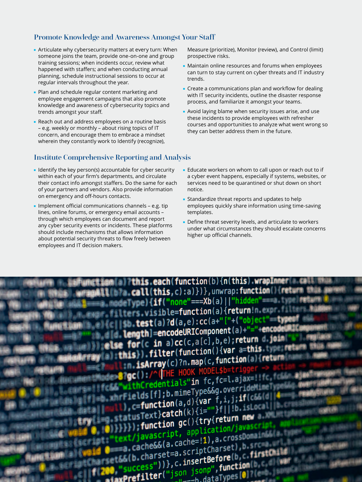#### Promote Knowledge and Awareness Amongst Your Staff

- Articulate why cybersecurity matters at every turn: When someone joins the team, provide one-on-one and group training sessions; when incidents occur, review what happened with staffers; and when conducting annual planning, schedule instructional sessions to occur at regular intervals throughout the year.
- Plan and schedule regular content marketing and employee engagement campaigns that also promote knowledge and awareness of cybersecurity topics and trends amongst your staff.
- Reach out and address employees on a routine basis – e.g. weekly or monthly – about rising topics of IT concern, and encourage them to embrace a mindset wherein they constantly work to Identify (recognize),

#### Institute Comprehensive Reporting and Analysis

- Identify the key person(s) accountable for cyber security within each of your firm's departments, and circulate their contact info amongst staffers. Do the same for each of your partners and vendors. Also provide information on emergency and off-hours contacts.
- Implement official communications channels e.g. tip lines, online forums, or emergency email accounts – through which employees can document and report any cyber security events or incidents. These platforms should include mechanisms that allows information about potential security threats to flow freely between employees and IT decision makers.

Measure (prioritize), Monitor (review), and Control (limit) prospective risks.

- Maintain online resources and forums when employees can turn to stay current on cyber threats and IT industry trends.
- Create a communications plan and workflow for dealing with IT security incidents, outline the disaster response process, and familiarize it amongst your teams.
- Avoid laying blame when security issues arise, and use these incidents to provide employees with refresher courses and opportunities to analyze what went wrong so they can better address them in the future.
- Educate workers on whom to call upon or reach out to if a cyber event happens, especially if systems, websites, or services need to be quarantined or shut down on short notice.
- Standardize threat reports and updates to help employees quickly share information using time-saving templates.
- Define threat severity levels, and articulate to workers under what circumstances they should escalate concerns higher up official channels.

**Tthis each(function(b){n(this).wrapInmer** (b)a.call(this, c):a)})}, unwrap: function() {ret  $f($  wpe)  $\{if('none' == Xb(a) ||'hidden' == 0\})$ ers.visible=function(a){return!n.expr  $\frac{10}{20}$ . test(a)?d(a,e):cc(a+"["-("object" type **Length** = encodeURIComponent(a)+"="+encode **for**(c in a)cc(c,a[c],b,e);return d.join or(c in a)cc(c,atc), yer a=this.ty<br>s}).filter(function(){var a=this.ty sArray(c)?n.map(c,function(a){retwr **THE HOOK MODE** Credentials"in fc, fc=l.ajax=1 credentials in te, contrident<br>|ds[f];b.mimeType&&g.overrident  $c = function(a, d)$ {var f,i,j;<br> $c = function(a, d)$ {var f,i,j; **function**(a, d)\Vardicities<br>Text}catch(k){i=""}f||!b.isL Text}catch(K)11-<br>function gc(){try{return new t/javascript, application/java ext/javascript, application/java<br>a.cache&&(a.cache=!1),a.cross00<br>a.cache&&(a.cache=!1),b. ets&(b.charset=a.scriptCharset), b.s<br>ets&(b.charset=a.scriptCharset), b.s (b.charset=a.scripting<br>(b.charset=a.scripting=clb,c<br>("ison jsonp",function  $\{$   $\bullet$  success"))}, c.insertBerure<br> $\{$   $\bullet$  success"))}, c.insertBerure(notion(